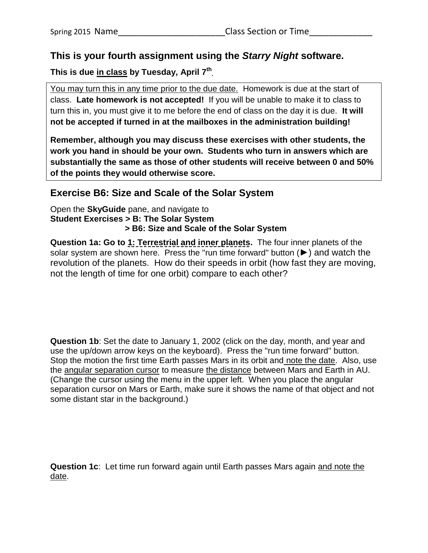## **This is your fourth assignment using the** *Starry Night* **software.**

**This is due in class by Tuesday, April 7 th .**

You may turn this in any time prior to the due date. Homework is due at the start of class. **Late homework is not accepted!** If you will be unable to make it to class to turn this in, you must give it to me before the end of class on the day it is due. **It will not be accepted if turned in at the mailboxes in the administration building!**

**Remember, although you may discuss these exercises with other students, the work you hand in should be your own. Students who turn in answers which are substantially the same as those of other students will receive between 0 and 50% of the points they would otherwise score.**

## **Exercise B6: Size and Scale of the Solar System**

Open the **SkyGuide** pane, and navigate to **Student Exercises > B: The Solar System > B6: Size and Scale of the Solar System**

**Question 1a: Go to 1: Terrestrial and inner planets.** The four inner planets of the solar system are shown here. Press the "run time forward" button (►) and watch the revolution of the planets. How do their speeds in orbit (how fast they are moving, not the length of time for one orbit) compare to each other?

**Question 1b**: Set the date to January 1, 2002 (click on the day, month, and year and use the up/down arrow keys on the keyboard). Press the "run time forward" button. Stop the motion the first time Earth passes Mars in its orbit and note the date. Also, use the angular separation cursor to measure the distance between Mars and Earth in AU. (Change the cursor using the menu in the upper left. When you place the angular separation cursor on Mars or Earth, make sure it shows the name of that object and not some distant star in the background.)

**Question 1c**: Let time run forward again until Earth passes Mars again and note the date.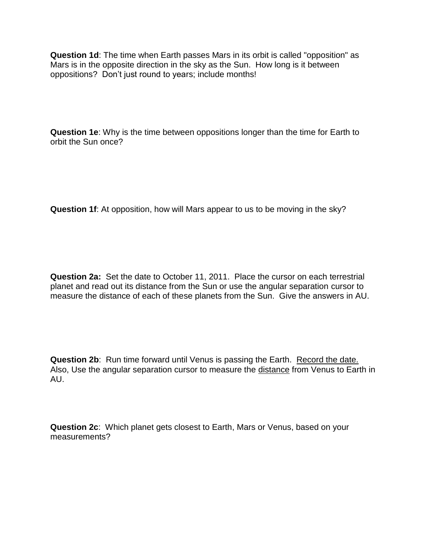**Question 1d**: The time when Earth passes Mars in its orbit is called "opposition" as Mars is in the opposite direction in the sky as the Sun. How long is it between oppositions? Don't just round to years; include months!

**Question 1e**: Why is the time between oppositions longer than the time for Earth to orbit the Sun once?

**Question 1f**: At opposition, how will Mars appear to us to be moving in the sky?

**Question 2a:** Set the date to October 11, 2011. Place the cursor on each terrestrial planet and read out its distance from the Sun or use the angular separation cursor to measure the distance of each of these planets from the Sun. Give the answers in AU.

**Question 2b:** Run time forward until Venus is passing the Earth. Record the date. Also, Use the angular separation cursor to measure the distance from Venus to Earth in AU.

**Question 2c**: Which planet gets closest to Earth, Mars or Venus, based on your measurements?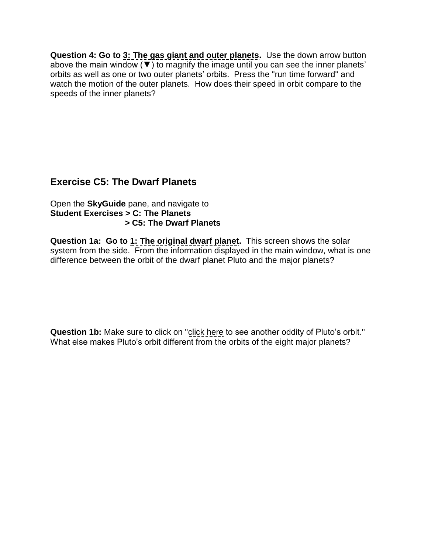**Question 4: Go to 3: The gas giant and outer planets.** Use the down arrow button above the main window (▼) to magnify the image until you can see the inner planets' orbits as well as one or two outer planets' orbits. Press the "run time forward" and watch the motion of the outer planets. How does their speed in orbit compare to the speeds of the inner planets?

## **Exercise C5: The Dwarf Planets**

Open the **SkyGuide** pane, and navigate to **Student Exercises > C: The Planets > C5: The Dwarf Planets**

**Question 1a: Go to 1: The original dwarf planet.** This screen shows the solar system from the side. From the information displayed in the main window, what is one difference between the orbit of the dwarf planet Pluto and the major planets?

**Question 1b:** Make sure to click on "click here to see another oddity of Pluto's orbit." What else makes Pluto's orbit different from the orbits of the eight major planets?